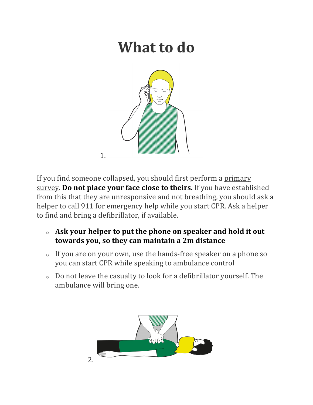## **What to do**



If you find someone collapsed, you should first perform a primary survey. **Do not place your face close to theirs.** If you have established from this that they are unresponsive and not breathing, you should ask a helper to call 911 for emergency help while you start CPR. Ask a helper to find and bring a defibrillator, if available.

- $\circ$  Ask your helper to put the phone on speaker and hold it out towards you, so they can maintain a 2m distance
- $\circ$  If you are on your own, use the hands-free speaker on a phone so you can start CPR while speaking to ambulance control
- $\circ$  Do not leave the casualty to look for a defibrillator yourself. The ambulance will bring one.

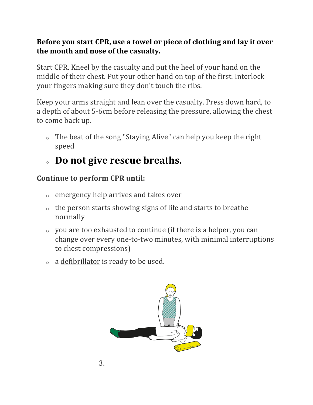## **Before you start CPR, use a towel or piece of clothing and lay it over** the mouth and nose of the casualty.

Start CPR. Kneel by the casualty and put the heel of your hand on the middle of their chest. Put your other hand on top of the first. Interlock your fingers making sure they don't touch the ribs.

Keep your arms straight and lean over the casualty. Press down hard, to a depth of about 5-6cm before releasing the pressure, allowing the chest to come back up.

 $\circ$  The beat of the song "Staying Alive" can help you keep the right speed

## **Do not give rescue breaths.**

## **Continue to perform CPR until:**

- $\circ$  emergency help arrives and takes over
- $\circ$  the person starts showing signs of life and starts to breathe normally
- $\circ$  you are too exhausted to continue (if there is a helper, you can change over every one-to-two minutes, with minimal interruptions to chest compressions)
- $\circ$  a defibrillator is ready to be used.